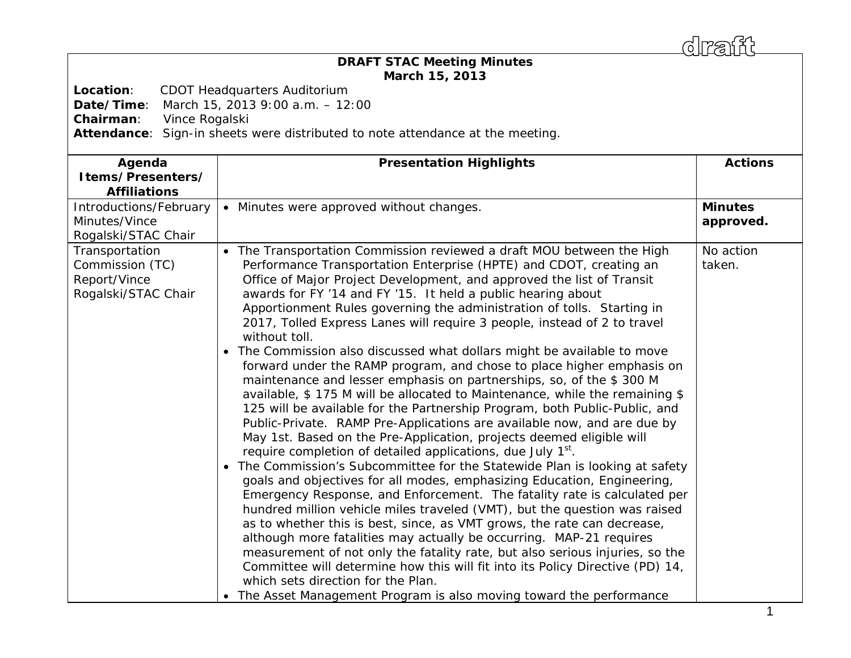draff

## *DRAFT* **STAC Meeting Minutes March 15, 2013**

**Location**: CDOT Headquarters Auditorium

**Date/Time**: March 15, 2013 9:00 a.m. – 12:00

**Chairman**: Vince Rogalski

**Attendance**: Sign-in sheets were distributed to note attendance at the meeting.

| Agenda<br>Items/Presenters/<br><b>Affiliations</b>                       | <b>Presentation Highlights</b>                                                                                                                                                                                                                                                                                                                                                                                                                                                                                                                                                                                                                                                                                                                                                                                                                                                                                                                                                                                                                                                                                                                                                                                                                                                                                                                                                                                                                                                                                                                                                                                                                                                                                                                                                                                                    | <b>Actions</b>              |
|--------------------------------------------------------------------------|-----------------------------------------------------------------------------------------------------------------------------------------------------------------------------------------------------------------------------------------------------------------------------------------------------------------------------------------------------------------------------------------------------------------------------------------------------------------------------------------------------------------------------------------------------------------------------------------------------------------------------------------------------------------------------------------------------------------------------------------------------------------------------------------------------------------------------------------------------------------------------------------------------------------------------------------------------------------------------------------------------------------------------------------------------------------------------------------------------------------------------------------------------------------------------------------------------------------------------------------------------------------------------------------------------------------------------------------------------------------------------------------------------------------------------------------------------------------------------------------------------------------------------------------------------------------------------------------------------------------------------------------------------------------------------------------------------------------------------------------------------------------------------------------------------------------------------------|-----------------------------|
| Introductions/February<br>Minutes/Vince<br>Rogalski/STAC Chair           | • Minutes were approved without changes.                                                                                                                                                                                                                                                                                                                                                                                                                                                                                                                                                                                                                                                                                                                                                                                                                                                                                                                                                                                                                                                                                                                                                                                                                                                                                                                                                                                                                                                                                                                                                                                                                                                                                                                                                                                          | <b>Minutes</b><br>approved. |
| Transportation<br>Commission (TC)<br>Report/Vince<br>Rogalski/STAC Chair | The Transportation Commission reviewed a draft MOU between the High<br>Performance Transportation Enterprise (HPTE) and CDOT, creating an<br>Office of Major Project Development, and approved the list of Transit<br>awards for FY '14 and FY '15. It held a public hearing about<br>Apportionment Rules governing the administration of tolls. Starting in<br>2017, Tolled Express Lanes will require 3 people, instead of 2 to travel<br>without toll.<br>• The Commission also discussed what dollars might be available to move<br>forward under the RAMP program, and chose to place higher emphasis on<br>maintenance and lesser emphasis on partnerships, so, of the \$300 M<br>available, \$175 M will be allocated to Maintenance, while the remaining \$<br>125 will be available for the Partnership Program, both Public-Public, and<br>Public-Private. RAMP Pre-Applications are available now, and are due by<br>May 1st. Based on the Pre-Application, projects deemed eligible will<br>require completion of detailed applications, due July 1 <sup>st</sup> .<br>The Commission's Subcommittee for the Statewide Plan is looking at safety<br>goals and objectives for all modes, emphasizing Education, Engineering,<br>Emergency Response, and Enforcement. The fatality rate is calculated per<br>hundred million vehicle miles traveled (VMT), but the question was raised<br>as to whether this is best, since, as VMT grows, the rate can decrease,<br>although more fatalities may actually be occurring. MAP-21 requires<br>measurement of not only the fatality rate, but also serious injuries, so the<br>Committee will determine how this will fit into its Policy Directive (PD) 14,<br>which sets direction for the Plan.<br>• The Asset Management Program is also moving toward the performance | No action<br>taken.         |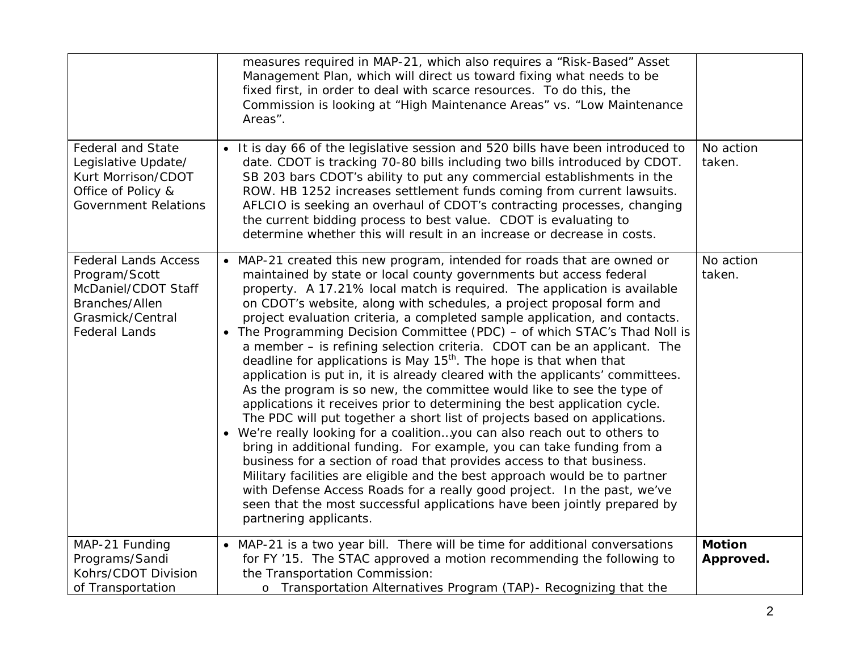|                                                                                                                                   | measures required in MAP-21, which also requires a "Risk-Based" Asset<br>Management Plan, which will direct us toward fixing what needs to be<br>fixed first, in order to deal with scarce resources. To do this, the<br>Commission is looking at "High Maintenance Areas" vs. "Low Maintenance<br>Areas".                                                                                                                                                                                                                                                                                                                                                                                                                                                                                                                                                                                                                                                                                                                                                                                                                                                                                                                                                                                                                                                                                                                                    |                            |
|-----------------------------------------------------------------------------------------------------------------------------------|-----------------------------------------------------------------------------------------------------------------------------------------------------------------------------------------------------------------------------------------------------------------------------------------------------------------------------------------------------------------------------------------------------------------------------------------------------------------------------------------------------------------------------------------------------------------------------------------------------------------------------------------------------------------------------------------------------------------------------------------------------------------------------------------------------------------------------------------------------------------------------------------------------------------------------------------------------------------------------------------------------------------------------------------------------------------------------------------------------------------------------------------------------------------------------------------------------------------------------------------------------------------------------------------------------------------------------------------------------------------------------------------------------------------------------------------------|----------------------------|
| <b>Federal and State</b><br>Legislative Update/<br>Kurt Morrison/CDOT<br>Office of Policy &<br><b>Government Relations</b>        | . It is day 66 of the legislative session and 520 bills have been introduced to<br>date. CDOT is tracking 70-80 bills including two bills introduced by CDOT.<br>SB 203 bars CDOT's ability to put any commercial establishments in the<br>ROW. HB 1252 increases settlement funds coming from current lawsuits.<br>AFLCIO is seeking an overhaul of CDOT's contracting processes, changing<br>the current bidding process to best value. CDOT is evaluating to<br>determine whether this will result in an increase or decrease in costs.                                                                                                                                                                                                                                                                                                                                                                                                                                                                                                                                                                                                                                                                                                                                                                                                                                                                                                    | No action<br>taken.        |
| <b>Federal Lands Access</b><br>Program/Scott<br>McDaniel/CDOT Staff<br>Branches/Allen<br>Grasmick/Central<br><b>Federal Lands</b> | MAP-21 created this new program, intended for roads that are owned or<br>$\bullet$<br>maintained by state or local county governments but access federal<br>property. A 17.21% local match is required. The application is available<br>on CDOT's website, along with schedules, a project proposal form and<br>project evaluation criteria, a completed sample application, and contacts.<br>• The Programming Decision Committee (PDC) - of which STAC's Thad Noll is<br>a member - is refining selection criteria. CDOT can be an applicant. The<br>deadline for applications is May $15th$ . The hope is that when that<br>application is put in, it is already cleared with the applicants' committees.<br>As the program is so new, the committee would like to see the type of<br>applications it receives prior to determining the best application cycle.<br>The PDC will put together a short list of projects based on applications.<br>• We're really looking for a coalitionyou can also reach out to others to<br>bring in additional funding. For example, you can take funding from a<br>business for a section of road that provides access to that business.<br>Military facilities are eligible and the best approach would be to partner<br>with Defense Access Roads for a really good project. In the past, we've<br>seen that the most successful applications have been jointly prepared by<br>partnering applicants. | No action<br>taken.        |
| MAP-21 Funding<br>Programs/Sandi<br>Kohrs/CDOT Division<br>of Transportation                                                      | MAP-21 is a two year bill. There will be time for additional conversations<br>$\bullet$<br>for FY '15. The STAC approved a motion recommending the following to<br>the Transportation Commission:<br>o Transportation Alternatives Program (TAP) - Recognizing that the                                                                                                                                                                                                                                                                                                                                                                                                                                                                                                                                                                                                                                                                                                                                                                                                                                                                                                                                                                                                                                                                                                                                                                       | <b>Motion</b><br>Approved. |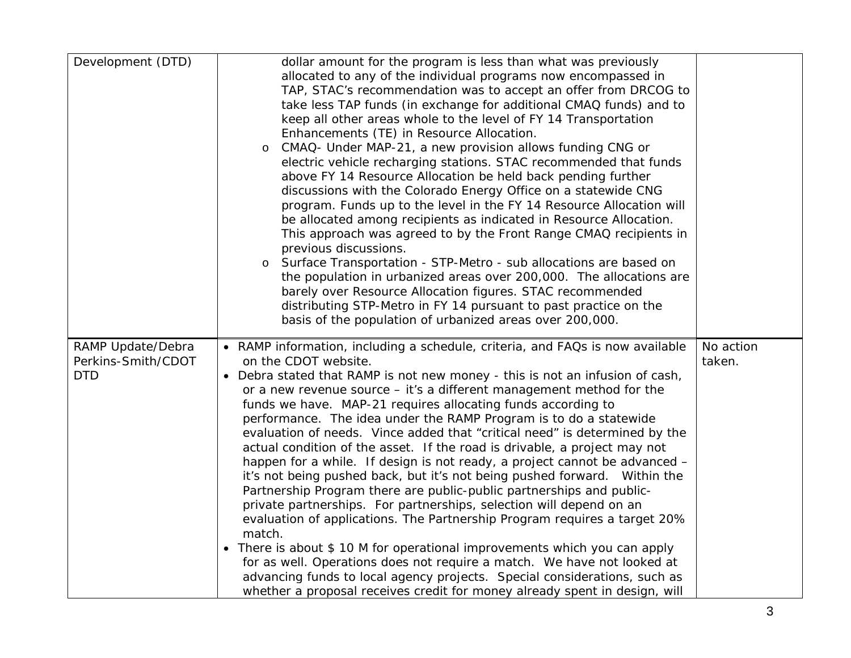| Development (DTD)                                     | dollar amount for the program is less than what was previously<br>allocated to any of the individual programs now encompassed in<br>TAP, STAC's recommendation was to accept an offer from DRCOG to<br>take less TAP funds (in exchange for additional CMAQ funds) and to<br>keep all other areas whole to the level of FY 14 Transportation<br>Enhancements (TE) in Resource Allocation.<br>CMAQ- Under MAP-21, a new provision allows funding CNG or<br>$\circ$<br>electric vehicle recharging stations. STAC recommended that funds<br>above FY 14 Resource Allocation be held back pending further<br>discussions with the Colorado Energy Office on a statewide CNG<br>program. Funds up to the level in the FY 14 Resource Allocation will<br>be allocated among recipients as indicated in Resource Allocation.<br>This approach was agreed to by the Front Range CMAQ recipients in<br>previous discussions.<br>Surface Transportation - STP-Metro - sub allocations are based on<br>the population in urbanized areas over 200,000. The allocations are<br>barely over Resource Allocation figures. STAC recommended<br>distributing STP-Metro in FY 14 pursuant to past practice on the<br>basis of the population of urbanized areas over 200,000.                |                     |
|-------------------------------------------------------|------------------------------------------------------------------------------------------------------------------------------------------------------------------------------------------------------------------------------------------------------------------------------------------------------------------------------------------------------------------------------------------------------------------------------------------------------------------------------------------------------------------------------------------------------------------------------------------------------------------------------------------------------------------------------------------------------------------------------------------------------------------------------------------------------------------------------------------------------------------------------------------------------------------------------------------------------------------------------------------------------------------------------------------------------------------------------------------------------------------------------------------------------------------------------------------------------------------------------------------------------------------------------|---------------------|
| RAMP Update/Debra<br>Perkins-Smith/CDOT<br><b>DTD</b> | • RAMP information, including a schedule, criteria, and FAQs is now available<br>on the CDOT website.<br>Debra stated that RAMP is not new money - this is not an infusion of cash,<br>or a new revenue source - it's a different management method for the<br>funds we have. MAP-21 requires allocating funds according to<br>performance. The idea under the RAMP Program is to do a statewide<br>evaluation of needs. Vince added that "critical need" is determined by the<br>actual condition of the asset. If the road is drivable, a project may not<br>happen for a while. If design is not ready, a project cannot be advanced -<br>it's not being pushed back, but it's not being pushed forward. Within the<br>Partnership Program there are public-public partnerships and public-<br>private partnerships. For partnerships, selection will depend on an<br>evaluation of applications. The Partnership Program requires a target 20%<br>match.<br>There is about \$10 M for operational improvements which you can apply<br>for as well. Operations does not require a match. We have not looked at<br>advancing funds to local agency projects. Special considerations, such as<br>whether a proposal receives credit for money already spent in design, will | No action<br>taken. |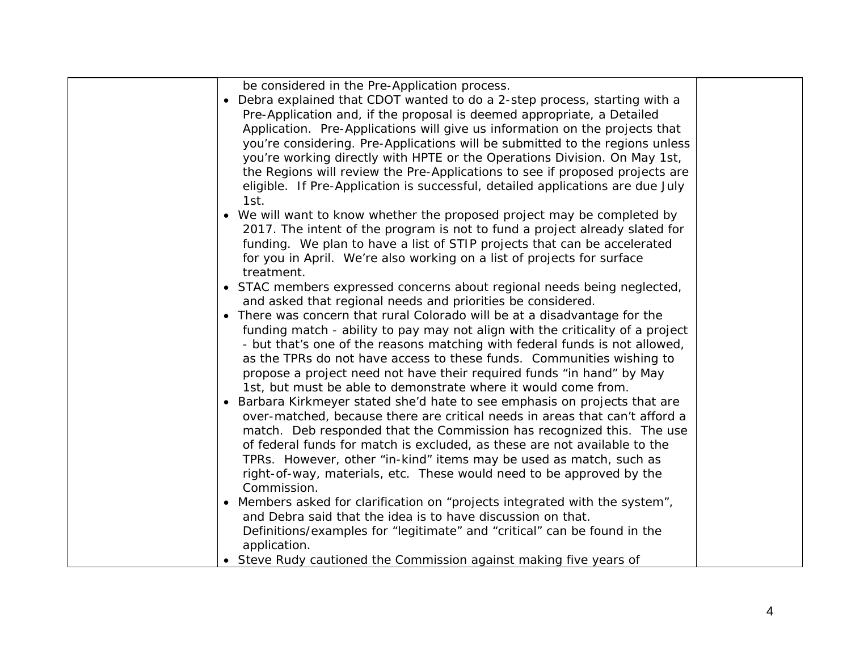be considered in the Pre-Application process.

| • Debra explained that CDOT wanted to do a 2-step process, starting with a     |
|--------------------------------------------------------------------------------|
| Pre-Application and, if the proposal is deemed appropriate, a Detailed         |
| Application. Pre-Applications will give us information on the projects that    |
| you're considering. Pre-Applications will be submitted to the regions unless   |
| you're working directly with HPTE or the Operations Division. On May 1st,      |
| the Regions will review the Pre-Applications to see if proposed projects are   |
| eligible. If Pre-Application is successful, detailed applications are due July |
| 1st.                                                                           |
| • We will want to know whether the proposed project may be completed by        |

- 2017. The intent of the program is not to fund a project already slated for funding. We plan to have a list of STIP projects that can be accelerated for you in April. We're also working on a list of projects for surface treatment.
- STAC members expressed concerns about regional needs being neglected, and asked that regional needs and priorities be considered.
- There was concern that rural Colorado will be at a disadvantage for the funding match - ability to pay may not align with the criticality of a project - but that's one of the reasons matching with federal funds is not allowed, as the TPRs do not have access to these funds. Communities wishing to propose a project need not have their required funds "in hand" by May 1st, but must be able to demonstrate where it would come from.
- Barbara Kirkmeyer stated she'd hate to see emphasis on projects that are over-matched, because there are critical needs in areas that can't afford a match. Deb responded that the Commission has recognized this. The use of federal funds for match is excluded, as these are not available to the TPRs. However, other "in-kind" items may be used as match, such as right-of-way, materials, etc. These would need to be approved by the Commission.
- $\bullet$  Members asked for clarification on "projects integrated with the system", and Debra said that the idea is to have discussion on that. Definitions/examples for "legitimate" and "critical" can be found in the application.
- . Steve Rudy cautioned the Commission against making five years of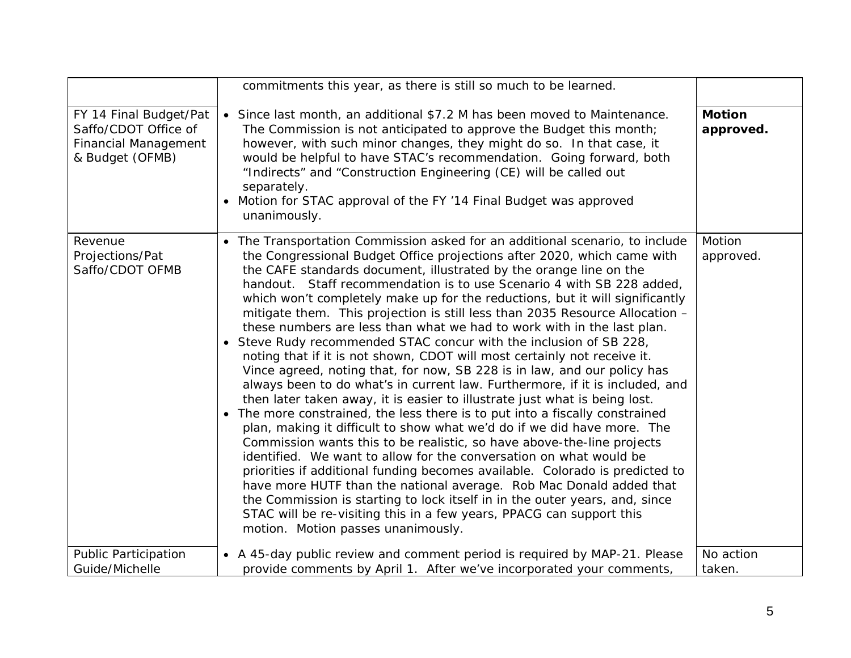|                                                                                                  | commitments this year, as there is still so much to be learned.                                                                                                                                                                                                                                                                                                                                                                                                                                                                                                                                                                                                                                                                                                                                                                                                                                                                                                                                                                                                                                                                                                                                                                                                                                                                                                                                                                                                                                                                                                                                                      |                            |
|--------------------------------------------------------------------------------------------------|----------------------------------------------------------------------------------------------------------------------------------------------------------------------------------------------------------------------------------------------------------------------------------------------------------------------------------------------------------------------------------------------------------------------------------------------------------------------------------------------------------------------------------------------------------------------------------------------------------------------------------------------------------------------------------------------------------------------------------------------------------------------------------------------------------------------------------------------------------------------------------------------------------------------------------------------------------------------------------------------------------------------------------------------------------------------------------------------------------------------------------------------------------------------------------------------------------------------------------------------------------------------------------------------------------------------------------------------------------------------------------------------------------------------------------------------------------------------------------------------------------------------------------------------------------------------------------------------------------------------|----------------------------|
| FY 14 Final Budget/Pat<br>Saffo/CDOT Office of<br><b>Financial Management</b><br>& Budget (OFMB) | • Since last month, an additional \$7.2 M has been moved to Maintenance.<br>The Commission is not anticipated to approve the Budget this month;<br>however, with such minor changes, they might do so. In that case, it<br>would be helpful to have STAC's recommendation. Going forward, both<br>"Indirects" and "Construction Engineering (CE) will be called out<br>separately.<br>Motion for STAC approval of the FY '14 Final Budget was approved<br>unanimously.                                                                                                                                                                                                                                                                                                                                                                                                                                                                                                                                                                                                                                                                                                                                                                                                                                                                                                                                                                                                                                                                                                                                               | <b>Motion</b><br>approved. |
| Revenue<br>Projections/Pat<br>Saffo/CDOT OFMB                                                    | The Transportation Commission asked for an additional scenario, to include<br>the Congressional Budget Office projections after 2020, which came with<br>the CAFE standards document, illustrated by the orange line on the<br>handout. Staff recommendation is to use Scenario 4 with SB 228 added,<br>which won't completely make up for the reductions, but it will significantly<br>mitigate them. This projection is still less than 2035 Resource Allocation -<br>these numbers are less than what we had to work with in the last plan.<br>• Steve Rudy recommended STAC concur with the inclusion of SB 228,<br>noting that if it is not shown, CDOT will most certainly not receive it.<br>Vince agreed, noting that, for now, SB 228 is in law, and our policy has<br>always been to do what's in current law. Furthermore, if it is included, and<br>then later taken away, it is easier to illustrate just what is being lost.<br>The more constrained, the less there is to put into a fiscally constrained<br>$\bullet$<br>plan, making it difficult to show what we'd do if we did have more. The<br>Commission wants this to be realistic, so have above-the-line projects<br>identified. We want to allow for the conversation on what would be<br>priorities if additional funding becomes available. Colorado is predicted to<br>have more HUTF than the national average. Rob Mac Donald added that<br>the Commission is starting to lock itself in in the outer years, and, since<br>STAC will be re-visiting this in a few years, PPACG can support this<br>motion. Motion passes unanimously. | Motion<br>approved.        |
| <b>Public Participation</b><br>Guide/Michelle                                                    | • A 45-day public review and comment period is required by MAP-21. Please<br>provide comments by April 1. After we've incorporated your comments,                                                                                                                                                                                                                                                                                                                                                                                                                                                                                                                                                                                                                                                                                                                                                                                                                                                                                                                                                                                                                                                                                                                                                                                                                                                                                                                                                                                                                                                                    | No action<br>taken.        |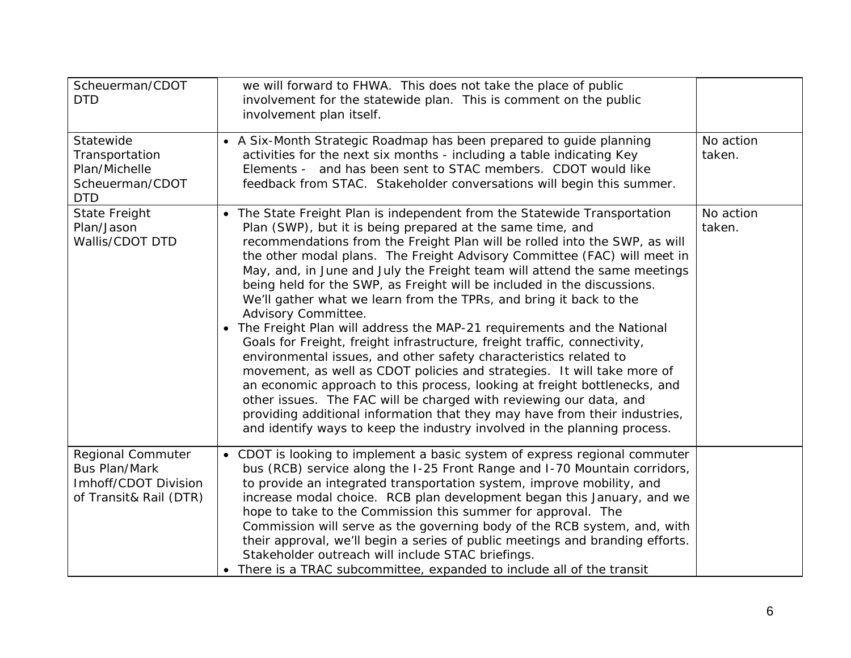| Scheuerman/CDOT<br><b>DTD</b>                                                                      | we will forward to FHWA. This does not take the place of public<br>involvement for the statewide plan. This is comment on the public<br>involvement plan itself.                                                                                                                                                                                                                                                                                                                                                                                                                                                                                                                                                                                                                                                                                                                                                                                                                                                                                                                                                                                                                        |                     |
|----------------------------------------------------------------------------------------------------|-----------------------------------------------------------------------------------------------------------------------------------------------------------------------------------------------------------------------------------------------------------------------------------------------------------------------------------------------------------------------------------------------------------------------------------------------------------------------------------------------------------------------------------------------------------------------------------------------------------------------------------------------------------------------------------------------------------------------------------------------------------------------------------------------------------------------------------------------------------------------------------------------------------------------------------------------------------------------------------------------------------------------------------------------------------------------------------------------------------------------------------------------------------------------------------------|---------------------|
| Statewide<br>Transportation<br>Plan/Michelle<br>Scheuerman/CDOT<br><b>DTD</b>                      | • A Six-Month Strategic Roadmap has been prepared to guide planning<br>activities for the next six months - including a table indicating Key<br>Elements - and has been sent to STAC members. CDOT would like<br>feedback from STAC. Stakeholder conversations will begin this summer.                                                                                                                                                                                                                                                                                                                                                                                                                                                                                                                                                                                                                                                                                                                                                                                                                                                                                                  | No action<br>taken. |
| <b>State Freight</b><br>Plan/Jason<br>Wallis/CDOT DTD                                              | • The State Freight Plan is independent from the Statewide Transportation<br>Plan (SWP), but it is being prepared at the same time, and<br>recommendations from the Freight Plan will be rolled into the SWP, as will<br>the other modal plans. The Freight Advisory Committee (FAC) will meet in<br>May, and, in June and July the Freight team will attend the same meetings<br>being held for the SWP, as Freight will be included in the discussions.<br>We'll gather what we learn from the TPRs, and bring it back to the<br>Advisory Committee.<br>The Freight Plan will address the MAP-21 requirements and the National<br>$\bullet$<br>Goals for Freight, freight infrastructure, freight traffic, connectivity,<br>environmental issues, and other safety characteristics related to<br>movement, as well as CDOT policies and strategies. It will take more of<br>an economic approach to this process, looking at freight bottlenecks, and<br>other issues. The FAC will be charged with reviewing our data, and<br>providing additional information that they may have from their industries,<br>and identify ways to keep the industry involved in the planning process. | No action<br>taken. |
| <b>Regional Commuter</b><br><b>Bus Plan/Mark</b><br>Imhoff/CDOT Division<br>of Transit& Rail (DTR) | • CDOT is looking to implement a basic system of express regional commuter<br>bus (RCB) service along the I-25 Front Range and I-70 Mountain corridors,<br>to provide an integrated transportation system, improve mobility, and<br>increase modal choice. RCB plan development began this January, and we<br>hope to take to the Commission this summer for approval. The<br>Commission will serve as the governing body of the RCB system, and, with<br>their approval, we'll begin a series of public meetings and branding efforts.<br>Stakeholder outreach will include STAC briefings.<br>• There is a TRAC subcommittee, expanded to include all of the transit                                                                                                                                                                                                                                                                                                                                                                                                                                                                                                                  |                     |